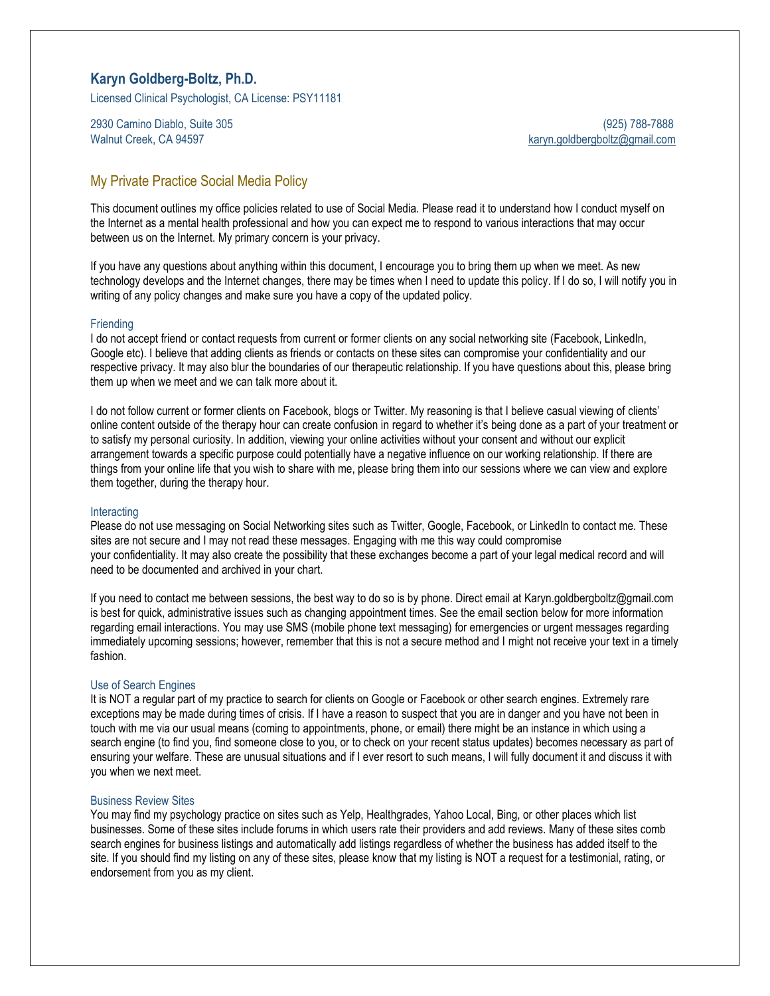# **Karyn Goldberg-Boltz, Ph.D.**

Licensed Clinical Psychologist, CA License: PSY11181

2930 Camino Diablo, Suite 305 (925) 788-7888

Walnut Creek, CA 94597 [karyn.goldbergboltz@gmail.com](mailto:karyn.goldbergboltz@gmail.com)

# My Private Practice Social Media Policy

This document outlines my office policies related to use of Social Media. Please read it to understand how I conduct myself on the Internet as a mental health professional and how you can expect me to respond to various interactions that may occur between us on the Internet. My primary concern is your privacy.

If you have any questions about anything within this document, I encourage you to bring them up when we meet. As new technology develops and the Internet changes, there may be times when I need to update this policy. If I do so, I will notify you in writing of any policy changes and make sure you have a copy of the updated policy.

### **Friending**

I do not accept friend or contact requests from current or former clients on any social networking site (Facebook, LinkedIn, Google etc). I believe that adding clients as friends or contacts on these sites can compromise your confidentiality and our respective privacy. It may also blur the boundaries of our therapeutic relationship. If you have questions about this, please bring them up when we meet and we can talk more about it.

I do not follow current or former clients on Facebook, blogs or Twitter. My reasoning is that I believe casual viewing of clients' online content outside of the therapy hour can create confusion in regard to whether it's being done as a part of your treatment or to satisfy my personal curiosity. In addition, viewing your online activities without your consent and without our explicit arrangement towards a specific purpose could potentially have a negative influence on our working relationship. If there are things from your online life that you wish to share with me, please bring them into our sessions where we can view and explore them together, during the therapy hour.

## **Interacting**

Please do not use messaging on Social Networking sites such as Twitter, Google, Facebook, or LinkedIn to contact me. These sites are not secure and I may not read these messages. Engaging with me this way could compromise your confidentiality. It may also create the possibility that these exchanges become a part of your legal medical record and will need to be documented and archived in your chart.

If you need to contact me between sessions, the best way to do so is by phone. Direct email at Karyn.goldbergboltz@gmail.com is best for quick, administrative issues such as changing appointment times. See the email section below for more information regarding email interactions. You may use SMS (mobile phone text messaging) for emergencies or urgent messages regarding immediately upcoming sessions; however, remember that this is not a secure method and I might not receive your text in a timely fashion.

### Use of Search Engines

It is NOT a regular part of my practice to search for clients on Google or Facebook or other search engines. Extremely rare exceptions may be made during times of crisis. If I have a reason to suspect that you are in danger and you have not been in touch with me via our usual means (coming to appointments, phone, or email) there might be an instance in which using a search engine (to find you, find someone close to you, or to check on your recent status updates) becomes necessary as part of ensuring your welfare. These are unusual situations and if I ever resort to such means, I will fully document it and discuss it with you when we next meet.

### Business Review Sites

You may find my psychology practice on sites such as Yelp, Healthgrades, Yahoo Local, Bing, or other places which list businesses. Some of these sites include forums in which users rate their providers and add reviews. Many of these sites comb search engines for business listings and automatically add listings regardless of whether the business has added itself to the site. If you should find my listing on any of these sites, please know that my listing is NOT a request for a testimonial, rating, or endorsement from you as my client.